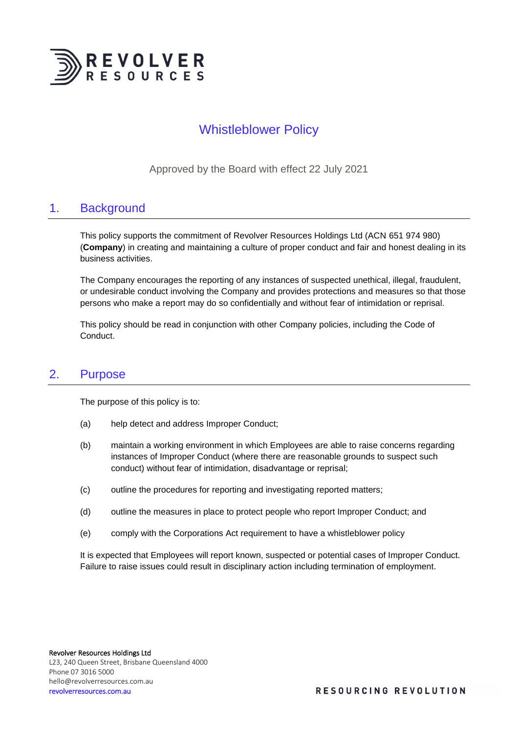

# Whistleblower Policy

Approved by the Board with effect 22 July 2021

### 1. Background

This policy supports the commitment of Revolver Resources Holdings Ltd (ACN 651 974 980) (**Company**) in creating and maintaining a culture of proper conduct and fair and honest dealing in its business activities.

The Company encourages the reporting of any instances of suspected unethical, illegal, fraudulent, or undesirable conduct involving the Company and provides protections and measures so that those persons who make a report may do so confidentially and without fear of intimidation or reprisal.

This policy should be read in conjunction with other Company policies, including the Code of Conduct.

### 2. Purpose

The purpose of this policy is to:

- (a) help detect and address Improper Conduct;
- (b) maintain a working environment in which Employees are able to raise concerns regarding instances of Improper Conduct (where there are reasonable grounds to suspect such conduct) without fear of intimidation, disadvantage or reprisal;
- (c) outline the procedures for reporting and investigating reported matters;
- (d) outline the measures in place to protect people who report Improper Conduct; and
- (e) comply with the Corporations Act requirement to have a whistleblower policy

It is expected that Employees will report known, suspected or potential cases of Improper Conduct. Failure to raise issues could result in disciplinary action including termination of employment.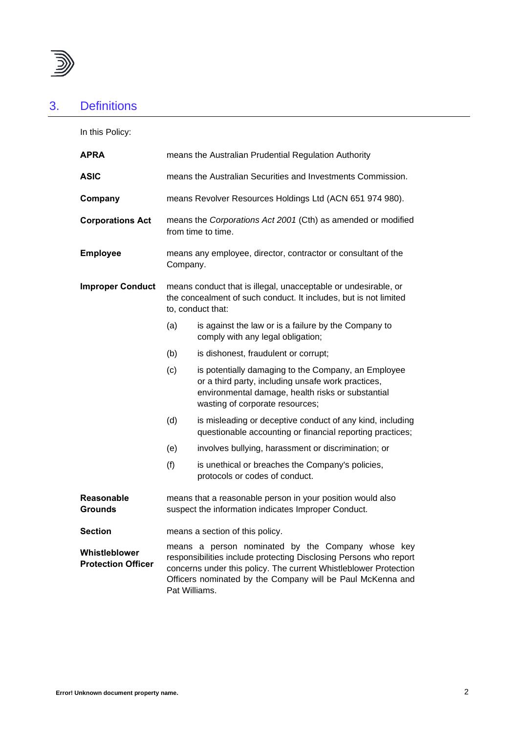

# 3. Definitions

In this Policy:

| <b>APRA</b>                                | means the Australian Prudential Regulation Authority                                                                                                                                                                                                                      |                                                                                                                                                                                                   |
|--------------------------------------------|---------------------------------------------------------------------------------------------------------------------------------------------------------------------------------------------------------------------------------------------------------------------------|---------------------------------------------------------------------------------------------------------------------------------------------------------------------------------------------------|
| ASIC                                       | means the Australian Securities and Investments Commission.                                                                                                                                                                                                               |                                                                                                                                                                                                   |
| Company                                    | means Revolver Resources Holdings Ltd (ACN 651 974 980).                                                                                                                                                                                                                  |                                                                                                                                                                                                   |
| <b>Corporations Act</b>                    | means the Corporations Act 2001 (Cth) as amended or modified<br>from time to time.                                                                                                                                                                                        |                                                                                                                                                                                                   |
| <b>Employee</b>                            | means any employee, director, contractor or consultant of the<br>Company.                                                                                                                                                                                                 |                                                                                                                                                                                                   |
| <b>Improper Conduct</b>                    | means conduct that is illegal, unacceptable or undesirable, or<br>the concealment of such conduct. It includes, but is not limited<br>to, conduct that:                                                                                                                   |                                                                                                                                                                                                   |
|                                            | (a)                                                                                                                                                                                                                                                                       | is against the law or is a failure by the Company to<br>comply with any legal obligation;                                                                                                         |
|                                            | (b)                                                                                                                                                                                                                                                                       | is dishonest, fraudulent or corrupt;                                                                                                                                                              |
|                                            | (c)                                                                                                                                                                                                                                                                       | is potentially damaging to the Company, an Employee<br>or a third party, including unsafe work practices,<br>environmental damage, health risks or substantial<br>wasting of corporate resources; |
|                                            | (d)                                                                                                                                                                                                                                                                       | is misleading or deceptive conduct of any kind, including<br>questionable accounting or financial reporting practices;                                                                            |
|                                            | (e)                                                                                                                                                                                                                                                                       | involves bullying, harassment or discrimination; or                                                                                                                                               |
|                                            | (f)                                                                                                                                                                                                                                                                       | is unethical or breaches the Company's policies,<br>protocols or codes of conduct.                                                                                                                |
| <b>Reasonable</b><br>Grounds               | means that a reasonable person in your position would also<br>suspect the information indicates Improper Conduct.                                                                                                                                                         |                                                                                                                                                                                                   |
| Section                                    | means a section of this policy.                                                                                                                                                                                                                                           |                                                                                                                                                                                                   |
| Whistleblower<br><b>Protection Officer</b> | means a person nominated by the Company whose key<br>responsibilities include protecting Disclosing Persons who report<br>concerns under this policy. The current Whistleblower Protection<br>Officers nominated by the Company will be Paul McKenna and<br>Pat Williams. |                                                                                                                                                                                                   |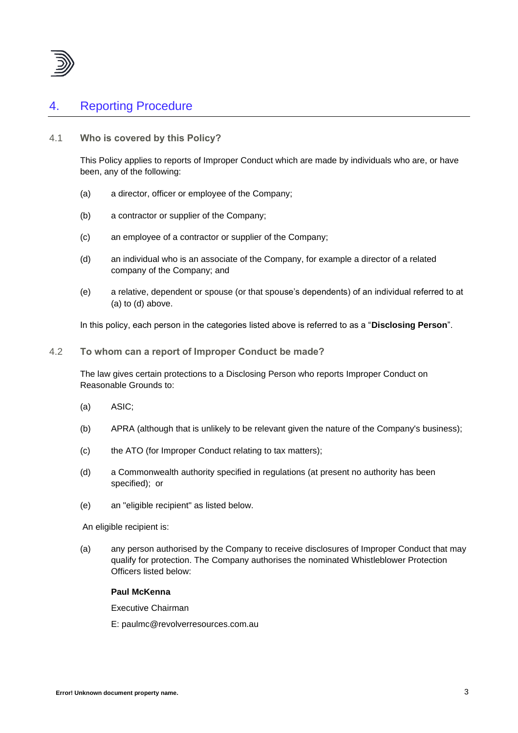

## 4. Reporting Procedure

#### 4.1 **Who is covered by this Policy?**

This Policy applies to reports of Improper Conduct which are made by individuals who are, or have been, any of the following:

- (a) a director, officer or employee of the Company;
- (b) a contractor or supplier of the Company;
- (c) an employee of a contractor or supplier of the Company;
- (d) an individual who is an associate of the Company, for example a director of a related company of the Company; and
- (e) a relative, dependent or spouse (or that spouse's dependents) of an individual referred to at (a) to (d) above.

In this policy, each person in the categories listed above is referred to as a "**Disclosing Person**".

4.2 **To whom can a report of Improper Conduct be made?**

The law gives certain protections to a Disclosing Person who reports Improper Conduct on Reasonable Grounds to:

- (a) ASIC;
- (b) APRA (although that is unlikely to be relevant given the nature of the Company's business);
- (c) the ATO (for Improper Conduct relating to tax matters);
- (d) a Commonwealth authority specified in regulations (at present no authority has been specified); or
- (e) an "eligible recipient" as listed below.

An eligible recipient is:

(a) any person authorised by the Company to receive disclosures of Improper Conduct that may qualify for protection. The Company authorises the nominated Whistleblower Protection Officers listed below:

#### **Paul McKenna**

Executive Chairman

E: paulmc@revolverresources.com.au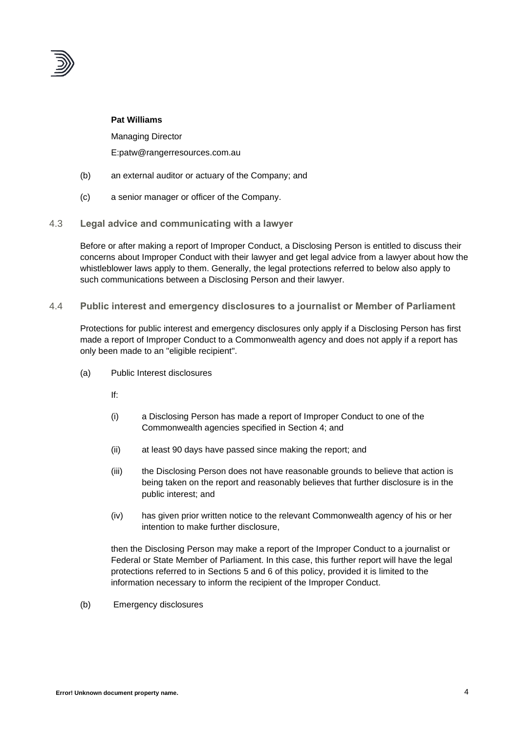

#### **Pat Williams**

Managing Director E:patw@rangerresources.com.au

- (b) an external auditor or actuary of the Company; and
- (c) a senior manager or officer of the Company.
- 4.3 **Legal advice and communicating with a lawyer**

Before or after making a report of Improper Conduct, a Disclosing Person is entitled to discuss their concerns about Improper Conduct with their lawyer and get legal advice from a lawyer about how the whistleblower laws apply to them. Generally, the legal protections referred to below also apply to such communications between a Disclosing Person and their lawyer.

4.4 **Public interest and emergency disclosures to a journalist or Member of Parliament**

Protections for public interest and emergency disclosures only apply if a Disclosing Person has first made a report of Improper Conduct to a Commonwealth agency and does not apply if a report has only been made to an "eligible recipient".

- (a) Public Interest disclosures
	- If:
	- (i) a Disclosing Person has made a report of Improper Conduct to one of the Commonwealth agencies specified in Section 4; and
	- (ii) at least 90 days have passed since making the report; and
	- (iii) the Disclosing Person does not have reasonable grounds to believe that action is being taken on the report and reasonably believes that further disclosure is in the public interest; and
	- (iv) has given prior written notice to the relevant Commonwealth agency of his or her intention to make further disclosure,

then the Disclosing Person may make a report of the Improper Conduct to a journalist or Federal or State Member of Parliament. In this case, this further report will have the legal protections referred to in Sections 5 and 6 of this policy, provided it is limited to the information necessary to inform the recipient of the Improper Conduct.

(b) Emergency disclosures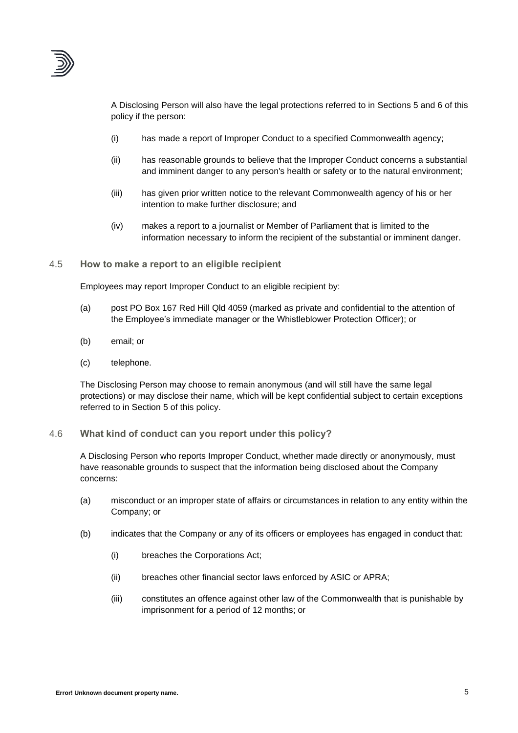

A Disclosing Person will also have the legal protections referred to in Sections 5 and 6 of this policy if the person:

- (i) has made a report of Improper Conduct to a specified Commonwealth agency;
- (ii) has reasonable grounds to believe that the Improper Conduct concerns a substantial and imminent danger to any person's health or safety or to the natural environment;
- (iii) has given prior written notice to the relevant Commonwealth agency of his or her intention to make further disclosure; and
- (iv) makes a report to a journalist or Member of Parliament that is limited to the information necessary to inform the recipient of the substantial or imminent danger.

4.5 **How to make a report to an eligible recipient**

Employees may report Improper Conduct to an eligible recipient by:

- (a) post PO Box 167 Red Hill Qld 4059 (marked as private and confidential to the attention of the Employee's immediate manager or the Whistleblower Protection Officer); or
- (b) email; or
- (c) telephone.

The Disclosing Person may choose to remain anonymous (and will still have the same legal protections) or may disclose their name, which will be kept confidential subject to certain exceptions referred to in Section 5 of this policy.

#### 4.6 **What kind of conduct can you report under this policy?**

A Disclosing Person who reports Improper Conduct, whether made directly or anonymously, must have reasonable grounds to suspect that the information being disclosed about the Company concerns:

- (a) misconduct or an improper state of affairs or circumstances in relation to any entity within the Company; or
- (b) indicates that the Company or any of its officers or employees has engaged in conduct that:
	- (i) breaches the Corporations Act;
	- (ii) breaches other financial sector laws enforced by ASIC or APRA;
	- (iii) constitutes an offence against other law of the Commonwealth that is punishable by imprisonment for a period of 12 months; or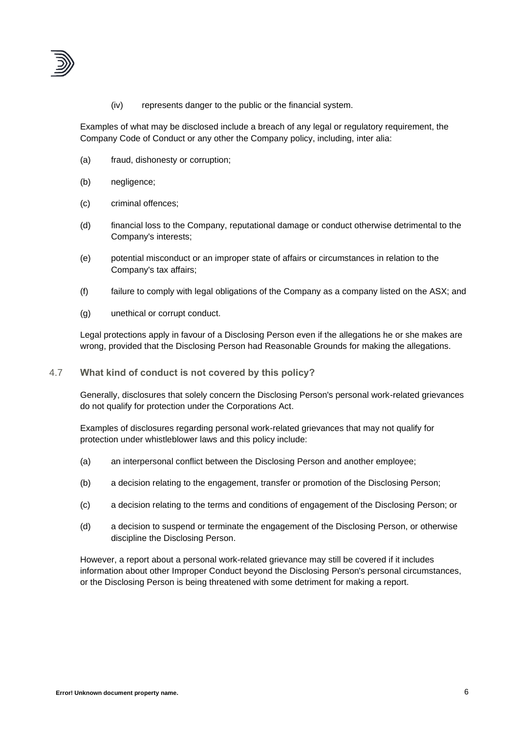

(iv) represents danger to the public or the financial system.

Examples of what may be disclosed include a breach of any legal or regulatory requirement, the Company Code of Conduct or any other the Company policy, including, inter alia:

- (a) fraud, dishonesty or corruption;
- (b) negligence;
- (c) criminal offences;
- (d) financial loss to the Company, reputational damage or conduct otherwise detrimental to the Company's interests;
- (e) potential misconduct or an improper state of affairs or circumstances in relation to the Company's tax affairs;
- (f) failure to comply with legal obligations of the Company as a company listed on the ASX; and
- (g) unethical or corrupt conduct.

Legal protections apply in favour of a Disclosing Person even if the allegations he or she makes are wrong, provided that the Disclosing Person had Reasonable Grounds for making the allegations.

#### 4.7 **What kind of conduct is not covered by this policy?**

Generally, disclosures that solely concern the Disclosing Person's personal work-related grievances do not qualify for protection under the Corporations Act.

Examples of disclosures regarding personal work-related grievances that may not qualify for protection under whistleblower laws and this policy include:

- (a) an interpersonal conflict between the Disclosing Person and another employee;
- (b) a decision relating to the engagement, transfer or promotion of the Disclosing Person;
- (c) a decision relating to the terms and conditions of engagement of the Disclosing Person; or
- (d) a decision to suspend or terminate the engagement of the Disclosing Person, or otherwise discipline the Disclosing Person.

However, a report about a personal work-related grievance may still be covered if it includes information about other Improper Conduct beyond the Disclosing Person's personal circumstances, or the Disclosing Person is being threatened with some detriment for making a report.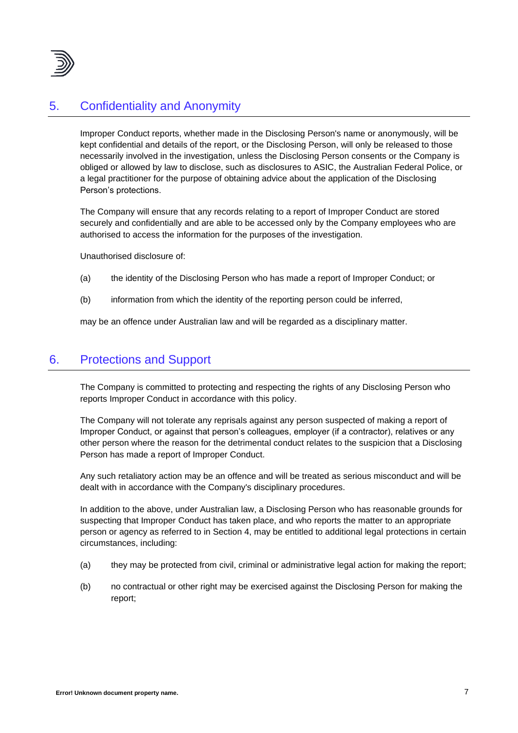

### 5. Confidentiality and Anonymity

Improper Conduct reports, whether made in the Disclosing Person's name or anonymously, will be kept confidential and details of the report, or the Disclosing Person, will only be released to those necessarily involved in the investigation, unless the Disclosing Person consents or the Company is obliged or allowed by law to disclose, such as disclosures to ASIC, the Australian Federal Police, or a legal practitioner for the purpose of obtaining advice about the application of the Disclosing Person's protections.

The Company will ensure that any records relating to a report of Improper Conduct are stored securely and confidentially and are able to be accessed only by the Company employees who are authorised to access the information for the purposes of the investigation.

Unauthorised disclosure of:

- (a) the identity of the Disclosing Person who has made a report of Improper Conduct; or
- (b) information from which the identity of the reporting person could be inferred,

may be an offence under Australian law and will be regarded as a disciplinary matter.

## 6. Protections and Support

The Company is committed to protecting and respecting the rights of any Disclosing Person who reports Improper Conduct in accordance with this policy.

The Company will not tolerate any reprisals against any person suspected of making a report of Improper Conduct, or against that person's colleagues, employer (if a contractor), relatives or any other person where the reason for the detrimental conduct relates to the suspicion that a Disclosing Person has made a report of Improper Conduct.

Any such retaliatory action may be an offence and will be treated as serious misconduct and will be dealt with in accordance with the Company's disciplinary procedures.

In addition to the above, under Australian law, a Disclosing Person who has reasonable grounds for suspecting that Improper Conduct has taken place, and who reports the matter to an appropriate person or agency as referred to in Section 4, may be entitled to additional legal protections in certain circumstances, including:

- (a) they may be protected from civil, criminal or administrative legal action for making the report;
- (b) no contractual or other right may be exercised against the Disclosing Person for making the report;